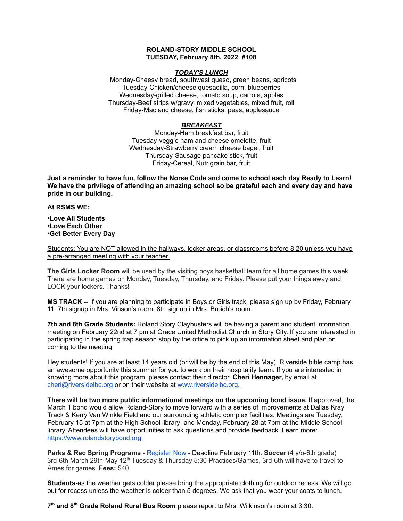## **ROLAND-STORY MIDDLE SCHOOL TUESDAY, February 8th, 2022 #108**

## *TODAY'S LUNCH*

Monday-Cheesy bread, southwest queso, green beans, apricots Tuesday-Chicken/cheese quesadilla, corn, blueberries Wednesday-grilled cheese, tomato soup, carrots, apples Thursday-Beef strips w/gravy, mixed vegetables, mixed fruit, roll Friday-Mac and cheese, fish sticks, peas, applesauce

## *BREAKFAST*

Monday-Ham breakfast bar, fruit Tuesday-veggie ham and cheese omelette, fruit Wednesday-Strawberry cream cheese bagel, fruit Thursday-Sausage pancake stick, fruit Friday-Cereal, Nutrigrain bar, fruit

Just a reminder to have fun, follow the Norse Code and come to school each day Ready to Learn! **We have the privilege of attending an amazing school so be grateful each and every day and have pride in our building.**

**At RSMS WE:**

**•Love All Students •Love Each Other •Get Better Every Day**

Students: You are NOT allowed in the hallways, locker areas, or classrooms before 8:20 unless you have a pre-arranged meeting with your teacher.

**The Girls Locker Room** will be used by the visiting boys basketball team for all home games this week. There are home games on Monday, Tuesday, Thursday, and Friday. Please put your things away and LOCK your lockers. Thanks!

**MS TRACK** -- If you are planning to participate in Boys or Girls track, please sign up by Friday, February 11. 7th signup in Mrs. Vinson's room. 8th signup in Mrs. Broich's room.

**7th and 8th Grade Students:** Roland Story Claybusters will be having a parent and student information meeting on February 22nd at 7 pm at Grace United Methodist Church in Story City. If you are interested in participating in the spring trap season stop by the office to pick up an information sheet and plan on coming to the meeting.

Hey students! If you are at least 14 years old (or will be by the end of this May), Riverside bible camp has an awesome opportunity this summer for you to work on their hospitality team. If you are interested in knowing more about this program, please contact their director, **Cheri Hennager,** by email at cheri@riversidelbc.org or on their website at [www.riversidelbc.org.](http://www.riversidelbc.org/)

**There will be two more public informational meetings on the upcoming bond issue.** If approved, the March 1 bond would allow Roland-Story to move forward with a series of improvements at Dallas Kray Track & Kerry Van Winkle Field and our surrounding athletic complex facilities. Meetings are Tuesday, February 15 at 7pm at the High School library; and Monday, February 28 at 7pm at the Middle School library. Attendees will have opportunities to ask questions and provide feedback. Learn more: [https://www.rolandstorybond.org](https://www.rolandstorybond.org/?fbclid=IwAR3AJHhy8S8KvQsof-Z44UTrIBXDkOZFSdMyUXMovrg0bH3FkvkTprNkFuM)

**Parks & Rec Spring Programs -** [Register](https://apm.activecommunities.com/cityofstorycity/Activity_Search) Now - Deadline February 11th. **Soccer** (4 y/o-6th grade) 3rd-6th March 29th-May 12<sup>th</sup> Tuesday & Thursday 5:30 Practices/Games, 3rd-6th will have to travel to Ames for games. **Fees:** \$40

**Students-**as the weather gets colder please bring the appropriate clothing for outdoor recess. We will go out for recess unless the weather is colder than 5 degrees. We ask that you wear your coats to lunch.

**7 th and 8 th Grade Roland Rural Bus Room** please report to Mrs. Wilkinson's room at 3:30.